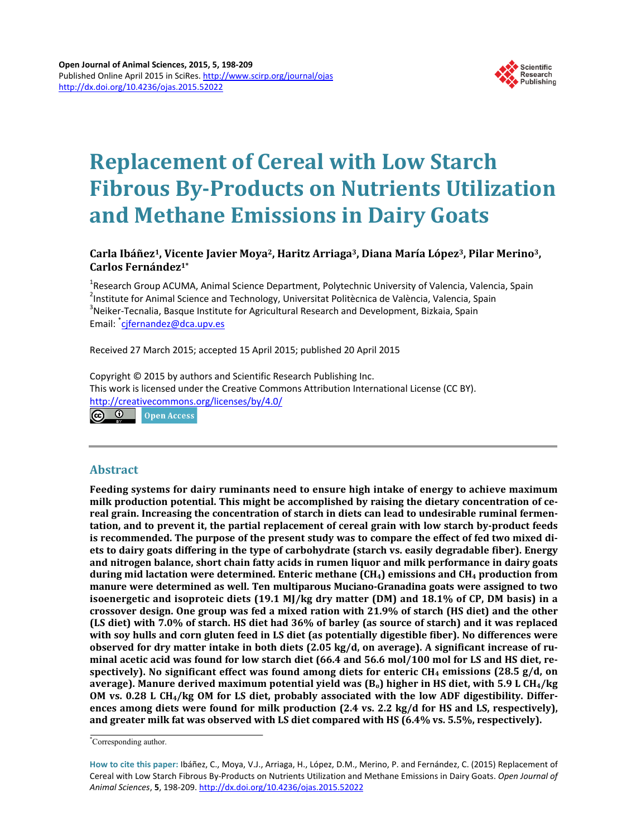

# **Replacement of Cereal with Low Starch Fibrous By-Products on Nutrients Utilization and Methane Emissions in Dairy Goats**

# **Carla Ibáñez1, Vicente Javier Moya2, Haritz Arriaga3, Diana María López3, Pilar Merino3, Carlos Fernández1\***

<sup>1</sup>Research Group ACUMA, Animal Science Department, Polytechnic University of Valencia, Valencia, Spain<br><sup>2</sup>Institute for Animal Science and Technology, Universitat Politècnica de València, Valencia, Spain <sup>2</sup>Institute for Animal Science and Technology, Universitat Politècnica de València, Valencia, Spain  $3$ Neiker-Tecnalia, Basque Institute for Agricultural Research and Development, Bizkaia, Spain Email: <sup>\*</sup>[cjfernandez@dca.upv.es](mailto:cjfernandez@dca.upv.es)

Received 27 March 2015; accepted 15 April 2015; published 20 April 2015

Copyright © 2015 by authors and Scientific Research Publishing Inc. This work is licensed under the Creative Commons Attribution International License (CC BY). <http://creativecommons.org/licenses/by/4.0/>

**Open Access** 

# **Abstract**

**Feeding systems for dairy ruminants need to ensure high intake of energy to achieve maximum milk production potential. This might be accomplished by raising the dietary concentration of cereal grain. Increasing the concentration of starch in diets can lead to undesirable ruminal fermentation, and to prevent it, the partial replacement of cereal grain with low starch by-product feeds is recommended. The purpose of the present study was to compare the effect of fed two mixed diets to dairy goats differing in the type of carbohydrate (starch vs. easily degradable fiber). Energy and nitrogen balance, short chain fatty acids in rumen liquor and milk performance in dairy goats during mid lactation were determined. Enteric methane (CH4) emissions and CH4 production from manure were determined as well. Ten multiparous Muciano-Granadina goats were assigned to two isoenergetic and isoproteic diets (19.1 MJ/kg dry matter (DM) and 18.1% of CP, DM basis) in a crossover design. One group was fed a mixed ration with 21.9% of starch (HS diet) and the other (LS diet) with 7.0% of starch. HS diet had 36% of barley (as source of starch) and it was replaced with soy hulls and corn gluten feed in LS diet (as potentially digestible fiber). No differences were observed for dry matter intake in both diets (2.05 kg/d, on average). A significant increase of ruminal acetic acid was found for low starch diet (66.4 and 56.6 mol/100 mol for LS and HS diet, respectively). No significant effect was found among diets for enteric CH4 emissions (28.5 g/d, on average). Manure derived maximum potential yield was (Bo) higher in HS diet, with 5.9 L CH4/kg OM vs. 0.28 L CH4/kg OM for LS diet, probably associated with the low ADF digestibility. Differences among diets were found for milk production (2.4 vs. 2.2 kg/d for HS and LS, respectively), and greater milk fat was observed with LS diet compared with HS (6.4% vs. 5.5%, respectively).**

<sup>\*</sup> Corresponding author.

**How to cite this paper:** Ibáñez, C., Moya, V.J., Arriaga, H., López, D.M., Merino, P. and Fernández, C. (2015) Replacement of Cereal with Low Starch Fibrous By-Products on Nutrients Utilization and Methane Emissions in Dairy Goats. *Open Journal of Animal Sciences*, **5**, 198-209. <http://dx.doi.org/10.4236/ojas.2015.52022>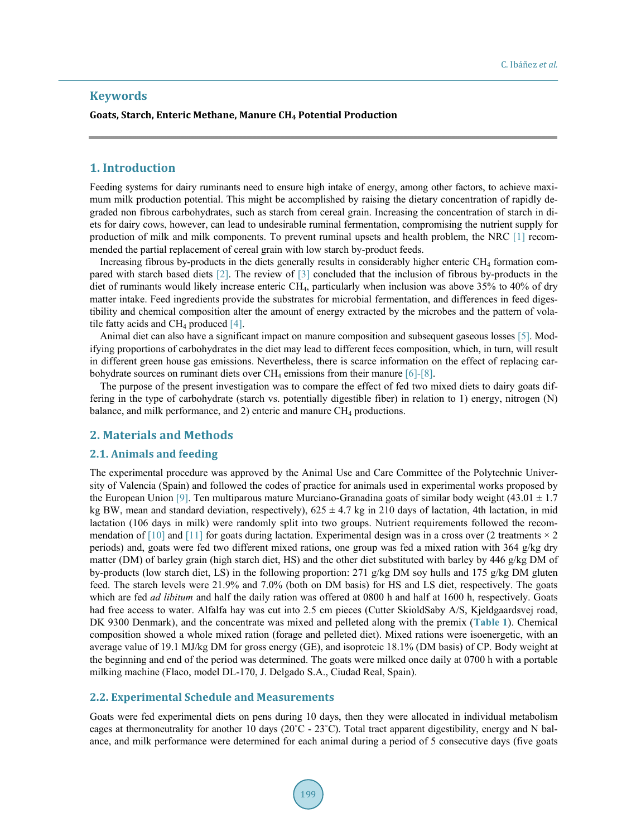# **Keywords**

#### **Goats, Starch, Enteric Methane, Manure CH4 Potential Production**

#### **1. Introduction**

Feeding systems for dairy ruminants need to ensure high intake of energy, among other factors, to achieve maximum milk production potential. This might be accomplished by raising the dietary concentration of rapidly degraded non fibrous carbohydrates, such as starch from cereal grain. Increasing the concentration of starch in diets for dairy cows, however, can lead to undesirable ruminal fermentation, compromising the nutrient supply for production of milk and milk components. To prevent ruminal upsets and health problem, the NRC [\[1\]](#page-10-0) recommended the partial replacement of cereal grain with low starch by-product feeds.

Increasing fibrous by-products in the diets generally results in considerably higher enteric CH4 formation compared with starch based diets [\[2\].](#page-10-1) The review of [\[3\]](#page-10-2) concluded that the inclusion of fibrous by-products in the diet of ruminants would likely increase enteric CH<sub>4</sub>, particularly when inclusion was above 35% to 40% of dry matter intake. Feed ingredients provide the substrates for microbial fermentation, and differences in feed digestibility and chemical composition alter the amount of energy extracted by the microbes and the pattern of volatile fatty acids and CH<sub>4</sub> produced  $[4]$ .

Animal diet can also have a significant impact on manure composition and subsequent gaseous losses [\[5\].](#page-10-4) Modifying proportions of carbohydrates in the diet may lead to different feces composition, which, in turn, will result in different green house gas emissions. Nevertheless, there is scarce information on the effect of replacing carbohydrate sources on ruminant diets over  $CH_4$  emissions from their manure [\[6\]](#page-10-5)[-\[8\].](#page-10-6)

The purpose of the present investigation was to compare the effect of fed two mixed diets to dairy goats differing in the type of carbohydrate (starch vs. potentially digestible fiber) in relation to 1) energy, nitrogen (N) balance, and milk performance, and 2) enteric and manure CH<sub>4</sub> productions.

#### **2. Materials and Methods**

#### **2.1. Animals and feeding**

The experimental procedure was approved by the Animal Use and Care Committee of the Polytechnic University of Valencia (Spain) and followed the codes of practice for animals used in experimental works proposed by the European Union [\[9\].](#page-10-7) Ten multiparous mature Murciano-Granadina goats of similar body weight (43.01  $\pm$  1.7) kg BW, mean and standard deviation, respectively),  $625 \pm 4.7$  kg in 210 days of lactation, 4th lactation, in mid lactation (106 days in milk) were randomly split into two groups. Nutrient requirements followed the recommendation of  $[10]$  and  $[11]$  for goats during lactation. Experimental design was in a cross over (2 treatments  $\times$  2 periods) and, goats were fed two different mixed rations, one group was fed a mixed ration with 364 g/kg dry matter (DM) of barley grain (high starch diet, HS) and the other diet substituted with barley by 446 g/kg DM of by-products (low starch diet, LS) in the following proportion: 271 g/kg DM soy hulls and 175 g/kg DM gluten feed. The starch levels were 21.9% and 7.0% (both on DM basis) for HS and LS diet, respectively. The goats which are fed *ad libitum* and half the daily ration was offered at 0800 h and half at 1600 h, respectively. Goats had free access to water. Alfalfa hay was cut into 2.5 cm pieces (Cutter SkioldSaby A/S, Kjeldgaardsvej road, DK 9300 Denmark), and the concentrate was mixed and pelleted along with the premix (**[Table 1](#page-2-0)**). Chemical composition showed a whole mixed ration (forage and pelleted diet). Mixed rations were isoenergetic, with an average value of 19.1 MJ/kg DM for gross energy (GE), and isoproteic 18.1% (DM basis) of CP. Body weight at the beginning and end of the period was determined. The goats were milked once daily at 0700 h with a portable milking machine (Flaco, model DL-170, J. Delgado S.A., Ciudad Real, Spain).

## **2.2. Experimental Schedule and Measurements**

Goats were fed experimental diets on pens during 10 days, then they were allocated in individual metabolism cages at thermoneutrality for another 10 days ( $20^{\circ}C - 23^{\circ}C$ ). Total tract apparent digestibility, energy and N balance, and milk performance were determined for each animal during a period of 5 consecutive days (five goats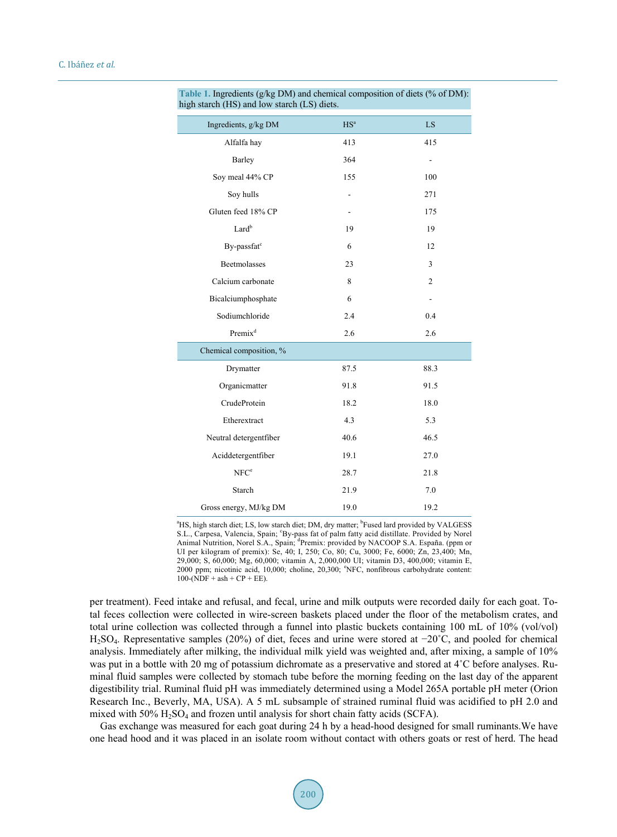| $\frac{1}{2}$ other (115) and fow staten (15) drets. |                 |                |
|------------------------------------------------------|-----------------|----------------|
| Ingredients, g/kg DM                                 | HS <sup>a</sup> | LS.            |
| Alfalfa hay                                          | 413             | 415            |
| Barley                                               | 364             |                |
| Soy meal 44% CP                                      | 155             | 100            |
| Soy hulls                                            |                 | 271            |
| Gluten feed 18% CP                                   |                 | 175            |
| Lard <sup>b</sup>                                    | 19              | 19             |
| By-passfat <sup>c</sup>                              | 6               | 12             |
| <b>Beetmolasses</b>                                  | 23              | 3              |
| Calcium carbonate                                    | 8               | $\overline{c}$ |
| Bicalciumphosphate                                   | 6               |                |
| Sodiumchloride                                       | 2.4             | 0.4            |
| Premix <sup>d</sup>                                  | 2.6             | 2.6            |
| Chemical composition, %                              |                 |                |
| Drymatter                                            | 87.5            | 88.3           |
| Organicmatter                                        | 91.8            | 91.5           |
| CrudeProtein                                         | 18.2            | 18.0           |
| Etherextract                                         | 4.3             | 5.3            |
| Neutral detergentfiber                               | 40.6            | 46.5           |
| Aciddetergentfiber                                   | 19.1            | 27.0           |
| NFC <sup>e</sup>                                     | 28.7            | 21.8           |
| Starch                                               | 21.9            | 7.0            |
| Gross energy, MJ/kg DM                               | 19.0            | 19.2           |

#### <span id="page-2-0"></span>**Table 1.** Ingredients (g/kg DM) and chemical composition of diets (% of DM): high starch (HS) and low starch (LS) diets.

<sup>a</sup>HS, high starch diet; LS, low starch diet; DM, dry matter; <sup>b</sup>Fused lard provided by VALGESS S.L., Carpesa, Valencia, Spain; 'By-pass fat of palm fatty acid distillate. Provided by Norel Animal Nutrition, Norel S.A., Spain, <sup>d</sup>Premix: provided by NACOOP S.A. España. (ppm or UI per kilogram of premix): Se, 40; I, 250; Co, 80; Cu, 3000; Fe, 6000; Zn, 23,400; Mn, 29,000; S, 60,000; Mg, 60,000; vitamin A, 2,000,000 UI; vitamin D3, 400,000; vitamin E, 2000 ppm; nicotinic acid, 10,000; choline, 20,300; <sup>e</sup> NFC, nonfibrous carbohydrate content:  $100 - (NDF + ash + CP + EE)$ .

per treatment). Feed intake and refusal, and fecal, urine and milk outputs were recorded daily for each goat. Total feces collection were collected in wire-screen baskets placed under the floor of the metabolism crates, and total urine collection was collected through a funnel into plastic buckets containing 100 mL of 10% (vol/vol) H2SO4. Representative samples (20%) of diet, feces and urine were stored at −20˚C, and pooled for chemical analysis. Immediately after milking, the individual milk yield was weighted and, after mixing, a sample of 10% was put in a bottle with 20 mg of potassium dichromate as a preservative and stored at 4<sup>°</sup>C before analyses. Ruminal fluid samples were collected by stomach tube before the morning feeding on the last day of the apparent digestibility trial. Ruminal fluid pH was immediately determined using a Model 265A portable pH meter (Orion Research Inc., Beverly, MA, USA). A 5 mL subsample of strained ruminal fluid was acidified to pH 2.0 and mixed with  $50\%$   $H_2SO_4$  and frozen until analysis for short chain fatty acids (SCFA).

Gas exchange was measured for each goat during 24 h by a head-hood designed for small ruminants.We have one head hood and it was placed in an isolate room without contact with others goats or rest of herd. The head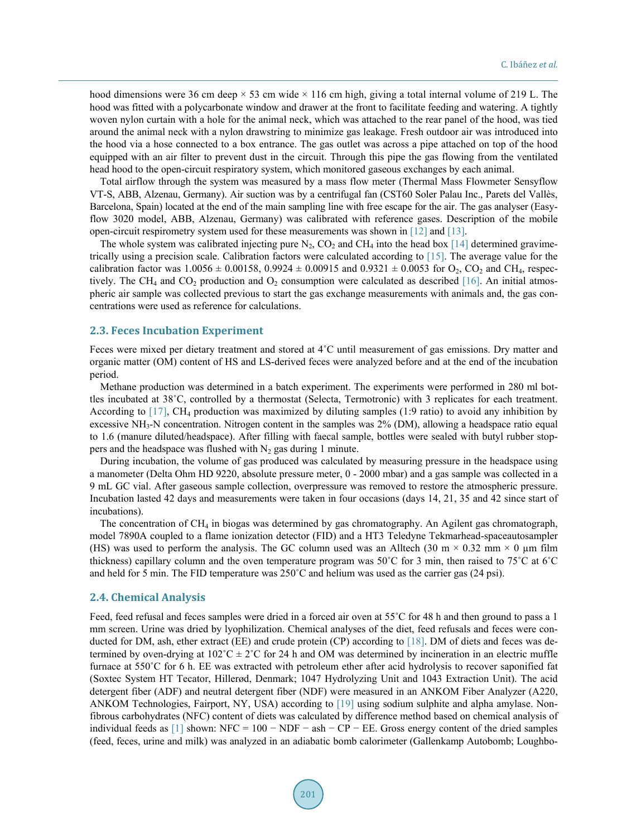hood dimensions were 36 cm deep  $\times$  53 cm wide  $\times$  116 cm high, giving a total internal volume of 219 L. The hood was fitted with a polycarbonate window and drawer at the front to facilitate feeding and watering. A tightly woven nylon curtain with a hole for the animal neck, which was attached to the rear panel of the hood, was tied around the animal neck with a nylon drawstring to minimize gas leakage. Fresh outdoor air was introduced into the hood via a hose connected to a box entrance. The gas outlet was across a pipe attached on top of the hood equipped with an air filter to prevent dust in the circuit. Through this pipe the gas flowing from the ventilated head hood to the open-circuit respiratory system, which monitored gaseous exchanges by each animal.

Total airflow through the system was measured by a mass flow meter (Thermal Mass Flowmeter Sensyflow VT-S, ABB, Alzenau, Germany). Air suction was by a centrifugal fan (CST60 Soler Palau Inc., Parets del Vallès, Barcelona, Spain) located at the end of the main sampling line with free escape for the air. The gas analyser (Easyflow 3020 model, ABB, Alzenau, Germany) was calibrated with reference gases. Description of the mobile open-circuit respirometry system used for these measurements was shown in [\[12\]](#page-10-10) and [\[13\].](#page-10-11)

The whole system was calibrated injecting pure  $N_2$ , CO<sub>2</sub> and CH<sub>4</sub> into the head box [\[14\]](#page-10-12) determined gravimetrically using a precision scale. Calibration factors were calculated according to [\[15\].](#page-10-13) The average value for the calibration factor was  $1.0056 \pm 0.00158$ ,  $0.9924 \pm 0.00915$  and  $0.9321 \pm 0.0053$  for  $O_2$ ,  $CO_2$  and CH<sub>4</sub>, respec-tively. The CH<sub>4</sub> and CO<sub>2</sub> production and O<sub>2</sub> consumption were calculated as described [\[16\].](#page-10-14) An initial atmospheric air sample was collected previous to start the gas exchange measurements with animals and, the gas concentrations were used as reference for calculations.

#### **2.3. Feces Incubation Experiment**

Feces were mixed per dietary treatment and stored at 4˚C until measurement of gas emissions. Dry matter and organic matter (OM) content of HS and LS-derived feces were analyzed before and at the end of the incubation period.

Methane production was determined in a batch experiment. The experiments were performed in 280 ml bottles incubated at 38˚C, controlled by a thermostat (Selecta, Termotronic) with 3 replicates for each treatment. According to  $[17]$ , CH<sub>4</sub> production was maximized by diluting samples (1:9 ratio) to avoid any inhibition by excessive NH<sub>3</sub>-N concentration. Nitrogen content in the samples was 2% (DM), allowing a headspace ratio equal to 1.6 (manure diluted/headspace). After filling with faecal sample, bottles were sealed with butyl rubber stoppers and the headspace was flushed with  $N_2$  gas during 1 minute.

During incubation, the volume of gas produced was calculated by measuring pressure in the headspace using a manometer (Delta Ohm HD 9220, absolute pressure meter, 0 - 2000 mbar) and a gas sample was collected in a 9 mL GC vial. After gaseous sample collection, overpressure was removed to restore the atmospheric pressure. Incubation lasted 42 days and measurements were taken in four occasions (days 14, 21, 35 and 42 since start of incubations).

The concentration of  $CH_4$  in biogas was determined by gas chromatography. An Agilent gas chromatograph, model 7890A coupled to a flame ionization detector (FID) and a HT3 Teledyne Tekmarhead-spaceautosampler (HS) was used to perform the analysis. The GC column used was an Alltech (30 m  $\times$  0.32 mm  $\times$  0 µm film thickness) capillary column and the oven temperature program was 50˚C for 3 min, then raised to 75˚C at 6˚C and held for 5 min. The FID temperature was 250˚C and helium was used as the carrier gas (24 psi).

#### **2.4. Chemical Analysis**

Feed, feed refusal and feces samples were dried in a forced air oven at 55°C for 48 h and then ground to pass a 1 mm screen. Urine was dried by lyophilization. Chemical analyses of the diet, feed refusals and feces were conducted for DM, ash, ether extract (EE) and crude protein (CP) according to [\[18\].](#page-10-16) DM of diets and feces was determined by oven-drying at  $102^{\circ}C \pm 2^{\circ}C$  for 24 h and OM was determined by incineration in an electric muffle furnace at 550°C for 6 h. EE was extracted with petroleum ether after acid hydrolysis to recover saponified fat (Soxtec System HT Tecator, Hillerød, Denmark; 1047 Hydrolyzing Unit and 1043 Extraction Unit). The acid detergent fiber (ADF) and neutral detergent fiber (NDF) were measured in an ANKOM Fiber Analyzer (A220, ANKOM Technologies, Fairport, NY, USA) according to [\[19\]](#page-10-17) using sodium sulphite and alpha amylase. Nonfibrous carbohydrates (NFC) content of diets was calculated by difference method based on chemical analysis of individual feeds as  $[1]$  shown: NFC = 100 – NDF – ash – CP – EE. Gross energy content of the dried samples (feed, feces, urine and milk) was analyzed in an adiabatic bomb calorimeter (Gallenkamp Autobomb; Loughbo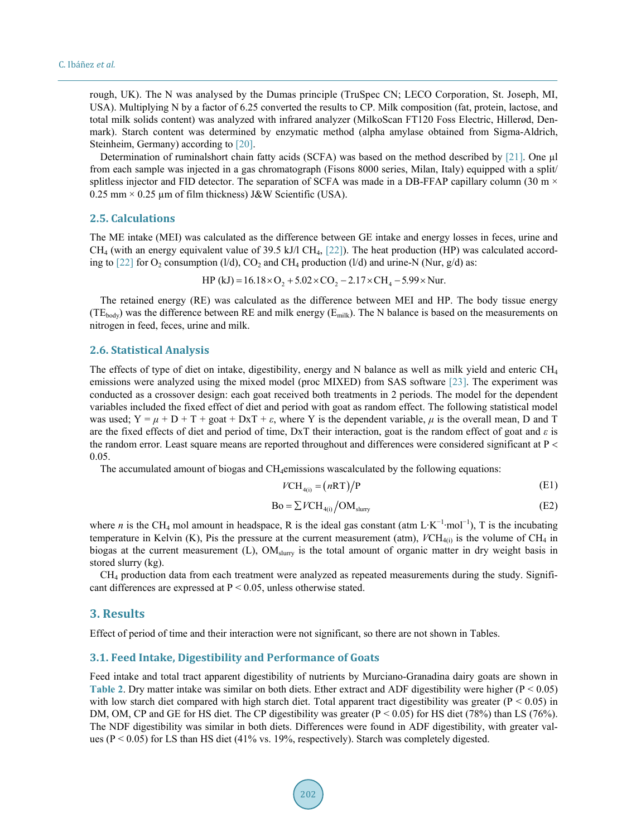rough, UK). The N was analysed by the Dumas principle (TruSpec CN; LECO Corporation, St. Joseph, MI, USA). Multiplying N by a factor of 6.25 converted the results to CP. Milk composition (fat, protein, lactose, and total milk solids content) was analyzed with infrared analyzer (MilkoScan FT120 Foss Electric, Hillerød, Denmark). Starch content was determined by enzymatic method (alpha amylase obtained from Sigma-Aldrich, Steinheim, Germany) according to [\[20\].](#page-11-0)

Determination of ruminalshort chain fatty acids (SCFA) was based on the method described by [\[21\].](#page-11-1) One ul from each sample was injected in a gas chromatograph (Fisons 8000 series, Milan, Italy) equipped with a split/ splitless injector and FID detector. The separation of SCFA was made in a DB-FFAP capillary column (30 m  $\times$  $0.25$  mm  $\times$  0.25 µm of film thickness) J&W Scientific (USA).

### **2.5. Calculations**

The ME intake (MEI) was calculated as the difference between GE intake and energy losses in feces, urine and  $CH<sub>4</sub>$  (with an energy equivalent value of 39.5 kJ/l CH<sub>4</sub>, [\[22\]\)](#page-11-2). The heat production (HP) was calculated accord-ing to [\[22\]](#page-11-2) for O<sub>2</sub> consumption (l/d), CO<sub>2</sub> and CH<sub>4</sub> production (l/d) and urine-N (Nur, g/d) as:

HP (kJ) =  $16.18 \times O_2 + 5.02 \times CO_2 - 2.17 \times CH_4 - 5.99 \times N$ ur.

The retained energy (RE) was calculated as the difference between MEI and HP. The body tissue energy  $(TE_{body})$  was the difference between RE and milk energy ( $E_{milk}$ ). The N balance is based on the measurements on nitrogen in feed, feces, urine and milk.

#### **2.6. Statistical Analysis**

The effects of type of diet on intake, digestibility, energy and N balance as well as milk yield and enteric  $CH<sub>4</sub>$ emissions were analyzed using the mixed model (proc MIXED) from SAS software [\[23\].](#page-11-3) The experiment was conducted as a crossover design: each goat received both treatments in 2 periods. The model for the dependent variables included the fixed effect of diet and period with goat as random effect. The following statistical model was used;  $Y = \mu + D + T +$  goat + DxT +  $\varepsilon$ , where Y is the dependent variable,  $\mu$  is the overall mean, D and T are the fixed effects of diet and period of time, DxT their interaction, goat is the random effect of goat and *ε* is the random error. Least square means are reported throughout and differences were considered significant at P < 0.05.

The accumulated amount of biogas and CH4emissions wascalculated by the following equations:

$$
VCH_{4(i)} = (nRT)/P
$$
 (E1)

$$
Bo = \sum VCH_{4(i)} / OM_{slurry}
$$
 (E2)

where *n* is the CH<sub>4</sub> mol amount in headspace, R is the ideal gas constant (atm L⋅K<sup>-1</sup>⋅mol<sup>-1</sup>), T is the incubating temperature in Kelvin (K), Pis the pressure at the current measurement (atm),  $VCH_{4(i)}$  is the volume of CH<sub>4</sub> in biogas at the current measurement (L), OM<sub>slurry</sub> is the total amount of organic matter in dry weight basis in stored slurry (kg).

CH4 production data from each treatment were analyzed as repeated measurements during the study. Significant differences are expressed at P < 0.05, unless otherwise stated.

#### **3. Results**

Effect of period of time and their interaction were not significant, so there are not shown in Tables.

#### **3.1. Feed Intake, Digestibility and Performance of Goats**

Feed intake and total tract apparent digestibility of nutrients by Murciano-Granadina dairy goats are shown in **[Table 2](#page-5-0).** Dry matter intake was similar on both diets. Ether extract and ADF digestibility were higher ( $P < 0.05$ ) with low starch diet compared with high starch diet. Total apparent tract digestibility was greater ( $P < 0.05$ ) in DM, OM, CP and GE for HS diet. The CP digestibility was greater  $(P < 0.05)$  for HS diet (78%) than LS (76%). The NDF digestibility was similar in both diets. Differences were found in ADF digestibility, with greater values ( $P < 0.05$ ) for LS than HS diet (41% vs. 19%, respectively). Starch was completely digested.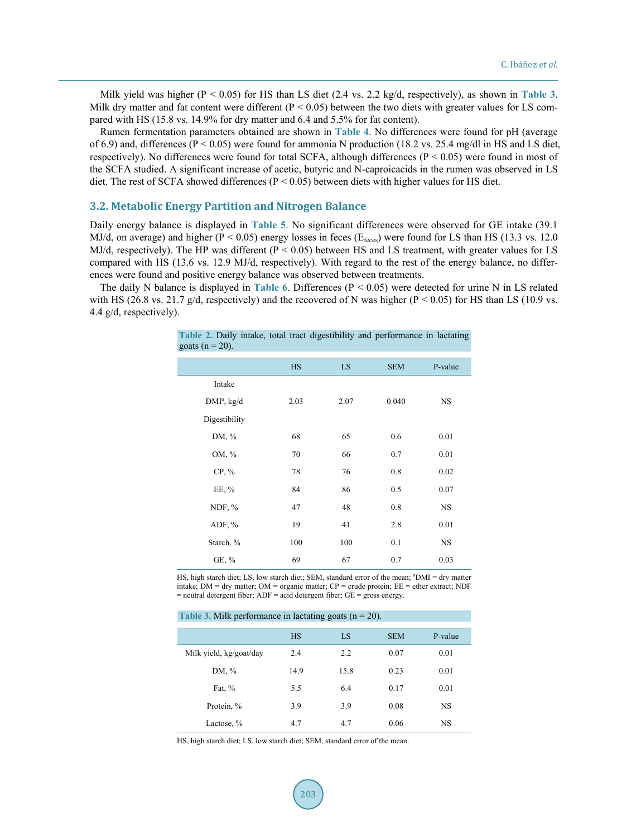Milk yield was higher (P < 0.05) for HS than LS diet (2.4 vs. 2.2 kg/d, respectively), as shown in **[Table 3](#page-5-1)**. Milk dry matter and fat content were different ( $P < 0.05$ ) between the two diets with greater values for LS compared with HS (15.8 vs. 14.9% for dry matter and 6.4 and 5.5% for fat content).

Rumen fermentation parameters obtained are shown in **[Table 4](#page-6-0)**. No differences were found for pH (average of 6.9) and, differences ( $P < 0.05$ ) were found for ammonia N production (18.2 vs. 25.4 mg/dl in HS and LS diet, respectively). No differences were found for total SCFA, although differences (P < 0.05) were found in most of the SCFA studied. A significant increase of acetic, butyric and N-caproicacids in the rumen was observed in LS diet. The rest of SCFA showed differences (P < 0.05) between diets with higher values for HS diet.

# **3.2. Metabolic Energy Partition and Nitrogen Balance**

Daily energy balance is displayed in **[Table 5](#page-6-1)**. No significant differences were observed for GE intake (39.1 MJ/d, on average) and higher ( $P < 0.05$ ) energy losses in feces ( $E_{\text{feces}}$ ) were found for LS than HS (13.3 vs. 12.0 MJ/d, respectively). The HP was different ( $P < 0.05$ ) between HS and LS treatment, with greater values for LS compared with HS (13.6 vs. 12.9 MJ/d, respectively). With regard to the rest of the energy balance, no differences were found and positive energy balance was observed between treatments.

<span id="page-5-0"></span>The daily N balance is displayed in **[Table 6](#page-6-2)**. Differences (P < 0.05) were detected for urine N in LS related with HS (26.8 vs. 21.7 g/d, respectively) and the recovered of N was higher (P < 0.05) for HS than LS (10.9 vs. 4.4 g/d, respectively).

**Table 2.** Daily intake, total tract digestibility and performance in lactating

| <b>rable 2.</b> Dairy miane, total tract digestionity and performance in factualing<br>goats ( $n = 20$ ). |           |      |            |           |
|------------------------------------------------------------------------------------------------------------|-----------|------|------------|-----------|
|                                                                                                            | <b>HS</b> | LS   | <b>SEM</b> | P-value   |
| Intake                                                                                                     |           |      |            |           |
| $DMIa$ , kg/d                                                                                              | 2.03      | 2.07 | 0.040      | <b>NS</b> |
| Digestibility                                                                                              |           |      |            |           |
| DM, %                                                                                                      | 68        | 65   | 0.6        | 0.01      |
| OM, %                                                                                                      | 70        | 66   | 0.7        | 0.01      |
| $CP, \%$                                                                                                   | 78        | 76   | 0.8        | 0.02      |
| EE, $%$                                                                                                    | 84        | 86   | 0.5        | 0.07      |
| NDF, $%$                                                                                                   | 47        | 48   | 0.8        | <b>NS</b> |
| $ADF, \%$                                                                                                  | 19        | 41   | 2.8        | 0.01      |
| Starch, %                                                                                                  | 100       | 100  | 0.1        | <b>NS</b> |
| GE, %                                                                                                      | 69        | 67   | 0.7        | 0.03      |

HS, high starch diet; LS, low starch diet; SEM, standard error of the mean; <sup>a</sup>DMI = dry matter intake;  $DM = dry$  matter;  $OM = organic$  matter;  $CP = crude$  protein;  $EE = ether$  extract; NDF  $=$  neutral detergent fiber; ADF  $=$  acid detergent fiber; GE  $=$  gross energy.

<span id="page-5-1"></span>

| Table 3. Milk performance in lactating goats $(n = 20)$ . |           |      |            |           |  |
|-----------------------------------------------------------|-----------|------|------------|-----------|--|
|                                                           | <b>HS</b> | LS   | <b>SEM</b> | P-value   |  |
| Milk yield, kg/goat/day                                   | 2.4       | 2.2  | 0.07       | 0.01      |  |
| DM, %                                                     | 14.9      | 15.8 | 0.23       | 0.01      |  |
| Fat, $%$                                                  | 5.5       | 6.4  | 0.17       | 0.01      |  |
| Protein, %                                                | 3.9       | 3.9  | 0.08       | <b>NS</b> |  |
| Lactose, %                                                | 4.7       | 4.7  | 0.06       | <b>NS</b> |  |

HS, high starch diet; LS, low starch diet; SEM, standard error of the mean.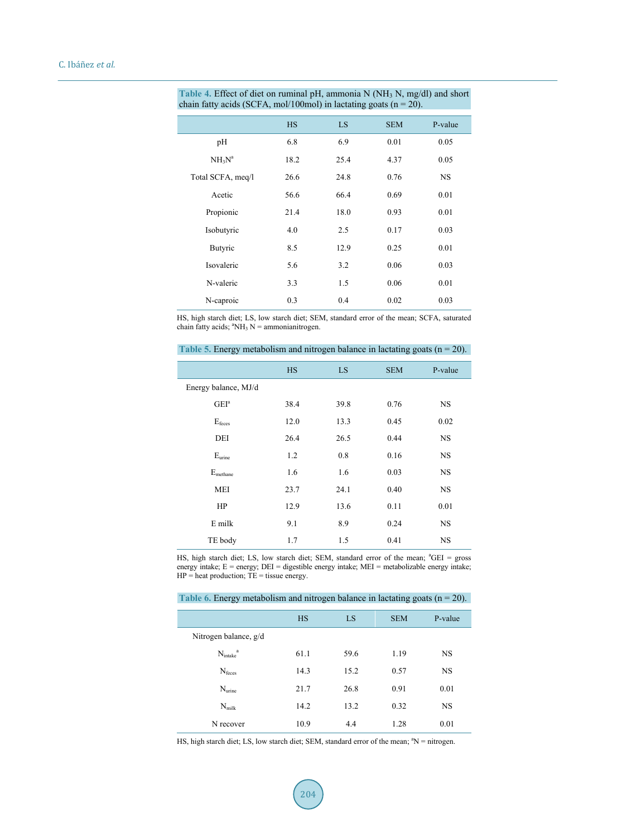| <b>HS</b> | LS   | <b>SEM</b> | P-value |
|-----------|------|------------|---------|
| 6.8       | 6.9  | 0.01       | 0.05    |
| 18.2      | 25.4 | 4.37       | 0.05    |
| 26.6      | 24.8 | 0.76       | NS.     |
| 56.6      | 66.4 | 0.69       | 0.01    |
| 21.4      | 18.0 | 0.93       | 0.01    |
| 4.0       | 2.5  | 0.17       | 0.03    |
| 8.5       | 12.9 | 0.25       | 0.01    |
| 5.6       | 3.2  | 0.06       | 0.03    |
| 3.3       | 1.5  | 0.06       | 0.01    |
| 0.3       | 0.4  | 0.02       | 0.03    |
|           |      |            |         |

<span id="page-6-0"></span>Table 4. Effect of diet on ruminal pH, ammonia N (NH<sub>3</sub> N, mg/dl) and short chain fatty acids (SCFA, mol/100mol) in lactating goats  $(n = 20)$ .

HS, high starch diet; LS, low starch diet; SEM, standard error of the mean; SCFA, saturated chain fatty acids;  ${}^{\text{a}}NH_3$  N = ammonianitrogen.

|                      | <b>HS</b> | LS   | <b>SEM</b> | P-value   |
|----------------------|-----------|------|------------|-----------|
| Energy balance, MJ/d |           |      |            |           |
| GEI <sup>a</sup>     | 38.4      | 39.8 | 0.76       | NS.       |
| $E_{\text{feces}}$   | 12.0      | 13.3 | 0.45       | 0.02      |
| DEI                  | 26.4      | 26.5 | 0.44       | NS.       |
| $E_{\text{urine}}$   | 1.2       | 0.8  | 0.16       | <b>NS</b> |
| $E_{\text{methane}}$ | 1.6       | 1.6  | 0.03       | <b>NS</b> |
| <b>MEI</b>           | 23.7      | 24.1 | 0.40       | <b>NS</b> |
| HP                   | 12.9      | 13.6 | 0.11       | 0.01      |
| E milk               | 9.1       | 8.9  | 0.24       | <b>NS</b> |
| TE body              | 1.7       | 1.5  | 0.41       | NS        |

<span id="page-6-1"></span>Table 5. Energy metabolism and nitrogen balance in lactating goats  $(n = 20)$ .

HS, high starch diet; LS, low starch diet; SEM, standard error of the mean; <sup>a</sup>GEI = gross energy intake;  $E =$  energy;  $DEI =$  digestible energy intake;  $MEI =$  metabolizable energy intake;  $HP = heat production$ ;  $TE = tissue energy$ .

<span id="page-6-2"></span>Table 6. Energy metabolism and nitrogen balance in lactating goats  $(n = 20)$ .

|                             | <b>HS</b> | LS   | <b>SEM</b> | P-value   |
|-----------------------------|-----------|------|------------|-----------|
| Nitrogen balance, g/d       |           |      |            |           |
| $N_{\rm intake}^{\qquad a}$ | 61.1      | 59.6 | 1.19       | <b>NS</b> |
| $N_{\text{feces}}$          | 14.3      | 15.2 | 0.57       | <b>NS</b> |
| $N_{\text{urine}}$          | 21.7      | 26.8 | 0.91       | 0.01      |
| $N_{\rm milk}$              | 14.2      | 13.2 | 0.32       | <b>NS</b> |
| N recover                   | 10.9      | 4.4  | 1.28       | 0.01      |

HS, high starch diet; LS, low starch diet; SEM, standard error of the mean; <sup>a</sup>N = nitrogen.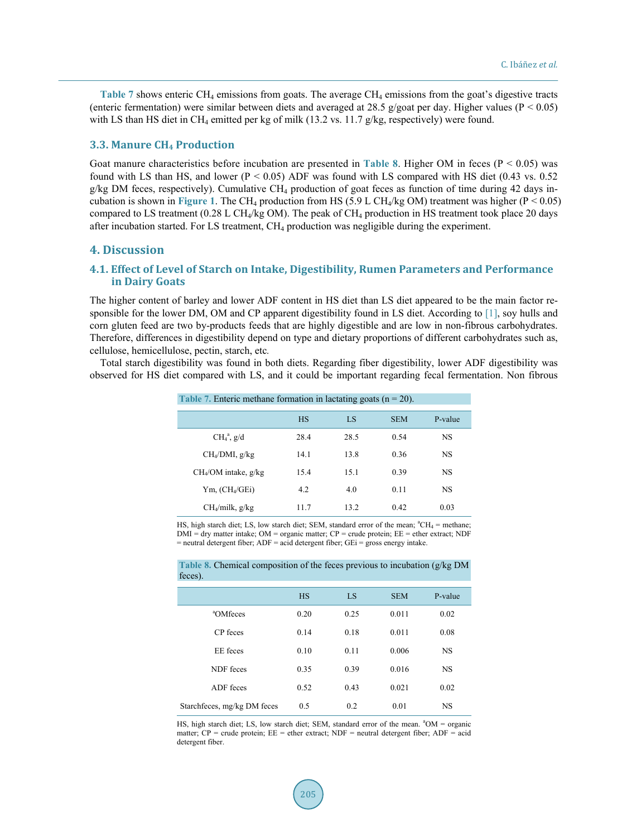**[Table 7](#page-7-0)** shows enteric CH<sub>4</sub> emissions from goats. The average CH<sub>4</sub> emissions from the goat's digestive tracts (enteric fermentation) were similar between diets and averaged at 28.5 g/goat per day. Higher values ( $P < 0.05$ ) with LS than HS diet in CH<sub>4</sub> emitted per kg of milk (13.2 vs. 11.7  $g/kg$ , respectively) were found.

#### **3.3. Manure CH4 Production**

Goat manure characteristics before incubation are presented in **[Table 8](#page-7-1)**. Higher OM in feces (P < 0.05) was found with LS than HS, and lower ( $P < 0.05$ ) ADF was found with LS compared with HS diet (0.43 vs. 0.52) g/kg DM feces, respectively). Cumulative CH<sub>4</sub> production of goat feces as function of time during 42 days in-cubation is shown in [Figure 1](#page-8-0). The CH<sub>4</sub> production from HS (5.9 L CH<sub>4</sub>/kg OM) treatment was higher (P < 0.05) compared to LS treatment (0.28 L CH<sub>4</sub>/kg OM). The peak of CH<sub>4</sub> production in HS treatment took place 20 days after incubation started. For LS treatment, CH4 production was negligible during the experiment.

#### **4. Discussion**

# **4.1. Effect of Level of Starch on Intake, Digestibility, Rumen Parameters and Performance in Dairy Goats**

The higher content of barley and lower ADF content in HS diet than LS diet appeared to be the main factor responsible for the lower DM, OM and CP apparent digestibility found in LS diet. According to [\[1\],](#page-10-0) soy hulls and corn gluten feed are two by-products feeds that are highly digestible and are low in non-fibrous carbohydrates. Therefore, differences in digestibility depend on type and dietary proportions of different carbohydrates such as, cellulose, hemicellulose, pectin, starch, etc*.* 

<span id="page-7-0"></span>Total starch digestibility was found in both diets. Regarding fiber digestibility, lower ADF digestibility was observed for HS diet compared with LS, and it could be important regarding fecal fermentation. Non fibrous

| Table 7. Enteric methane formation in lactating goats ( $n = 20$ ). |      |      |            |           |  |
|---------------------------------------------------------------------|------|------|------------|-----------|--|
|                                                                     | HS   | LS   | <b>SEM</b> | P-value   |  |
| CH <sub>4</sub> <sup>a</sup> , g/d                                  | 28.4 | 28.5 | 0.54       | <b>NS</b> |  |
| $CH4/DMI$ , g/kg                                                    | 14.1 | 13.8 | 0.36       | NS        |  |
| CH <sub>4</sub> /OM intake, g/kg                                    | 15.4 | 15.1 | 0.39       | NS        |  |
| $Ym$ , (CH <sub>4</sub> /GEi)                                       | 4.2  | 4.0  | 0.11       | <b>NS</b> |  |
| $CH_4$ /milk, g/kg                                                  | 11.7 | 13.2 | 0.42       | 0.03      |  |

HS, high starch diet; LS, low starch diet; SEM, standard error of the mean;  ${}^{\text{a}}CH_4$  = methane; DMI = dry matter intake; OM = organic matter; CP = crude protein; EE = ether extract; NDF = neutral detergent fiber; ADF = acid detergent fiber; GEi = gross energy intake.

|         |  | Table 8. Chemical composition of the feces previous to incubation $(g/kg DM)$ |  |
|---------|--|-------------------------------------------------------------------------------|--|
| feces). |  |                                                                               |  |

<span id="page-7-1"></span>

| $\sim\!\!\sim\!\!\sim\!\!\sim\!$ |           |      |            |           |
|----------------------------------|-----------|------|------------|-----------|
|                                  | <b>HS</b> | LS   | <b>SEM</b> | P-value   |
| <sup>a</sup> OMfeces             | 0.20      | 0.25 | 0.011      | 0.02      |
| CP feces                         | 0.14      | 0.18 | 0.011      | 0.08      |
| EE feces                         | 0.10      | 0.11 | 0.006      | <b>NS</b> |
| NDF feces                        | 0.35      | 0.39 | 0.016      | <b>NS</b> |
| ADF feces                        | 0.52      | 0.43 | 0.021      | 0.02      |
| Starchfeces, mg/kg DM feces      | 0.5       | 0.2  | 0.01       | <b>NS</b> |

HS, high starch diet; LS, low starch diet; SEM, standard error of the mean. <sup>a</sup>OM = organic matter; CP = crude protein; EE = ether extract; NDF = neutral detergent fiber; ADF = acid detergent fiber.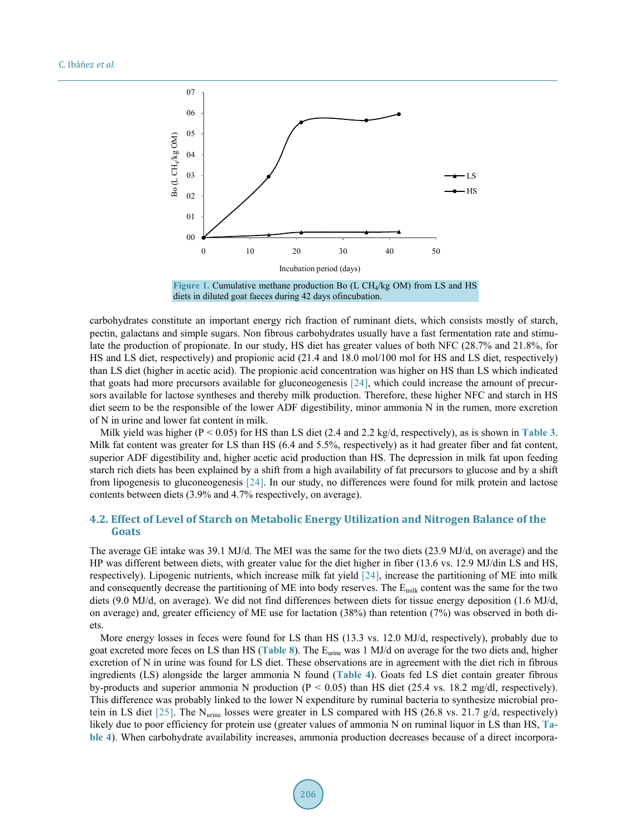<span id="page-8-0"></span>

carbohydrates constitute an important energy rich fraction of ruminant diets, which consists mostly of starch, pectin, galactans and simple sugars. Non fibrous carbohydrates usually have a fast fermentation rate and stimulate the production of propionate. In our study, HS diet has greater values of both NFC (28.7% and 21.8%, for HS and LS diet, respectively) and propionic acid (21.4 and 18.0 mol/100 mol for HS and LS diet, respectively) than LS diet (higher in acetic acid). The propionic acid concentration was higher on HS than LS which indicated that goats had more precursors available for gluconeogenesis [\[24\],](#page-11-4) which could increase the amount of precursors available for lactose syntheses and thereby milk production. Therefore, these higher NFC and starch in HS diet seem to be the responsible of the lower ADF digestibility, minor ammonia N in the rumen, more excretion of N in urine and lower fat content in milk.

Milk yield was higher (P < 0.05) for HS than LS diet (2.4 and 2.2 kg/d, respectively), as is shown in **[Table 3](#page-5-1)**. Milk fat content was greater for LS than HS (6.4 and 5.5%, respectively) as it had greater fiber and fat content, superior ADF digestibility and, higher acetic acid production than HS. The depression in milk fat upon feeding starch rich diets has been explained by a shift from a high availability of fat precursors to glucose and by a shift from lipogenesis to gluconeogenesis [\[24\].](#page-11-4) In our study, no differences were found for milk protein and lactose contents between diets (3.9% and 4.7% respectively, on average).

# **4.2. Effect of Level of Starch on Metabolic Energy Utilization and Nitrogen Balance of the Goats**

The average GE intake was 39.1 MJ/d. The MEI was the same for the two diets (23.9 MJ/d, on average) and the HP was different between diets, with greater value for the diet higher in fiber (13.6 vs. 12.9 MJ/din LS and HS, respectively). Lipogenic nutrients, which increase milk fat yield [\[24\],](#page-11-4) increase the partitioning of ME into milk and consequently decrease the partitioning of ME into body reserves. The Emilk content was the same for the two diets (9.0 MJ/d, on average). We did not find differences between diets for tissue energy deposition (1.6 MJ/d, on average) and, greater efficiency of ME use for lactation (38%) than retention (7%) was observed in both diets.

More energy losses in feces were found for LS than HS (13.3 vs. 12.0 MJ/d, respectively), probably due to goat excreted more feces on LS than HS (**[Table 8](#page-7-1)**). The Eurine was 1 MJ/d on average for the two diets and, higher excretion of N in urine was found for LS diet. These observations are in agreement with the diet rich in fibrous ingredients (LS) alongside the larger ammonia N found (**[Table 4](#page-6-0)**). Goats fed LS diet contain greater fibrous by-products and superior ammonia N production (P < 0.05) than HS diet (25.4 vs. 18.2 mg/dl, respectively). This difference was probably linked to the lower N expenditure by ruminal bacteria to synthesize microbial protein in LS diet [\[25\].](#page-11-5) The Nurine losses were greater in LS compared with HS (26.8 vs. 21.7 g/d, respectively) likely due to poor efficiency for protein use (greater values of ammonia N on ruminal liquor in LS than HS, **[Ta](#page-6-0)[ble 4](#page-6-0)**). When carbohydrate availability increases, ammonia production decreases because of a direct incorpora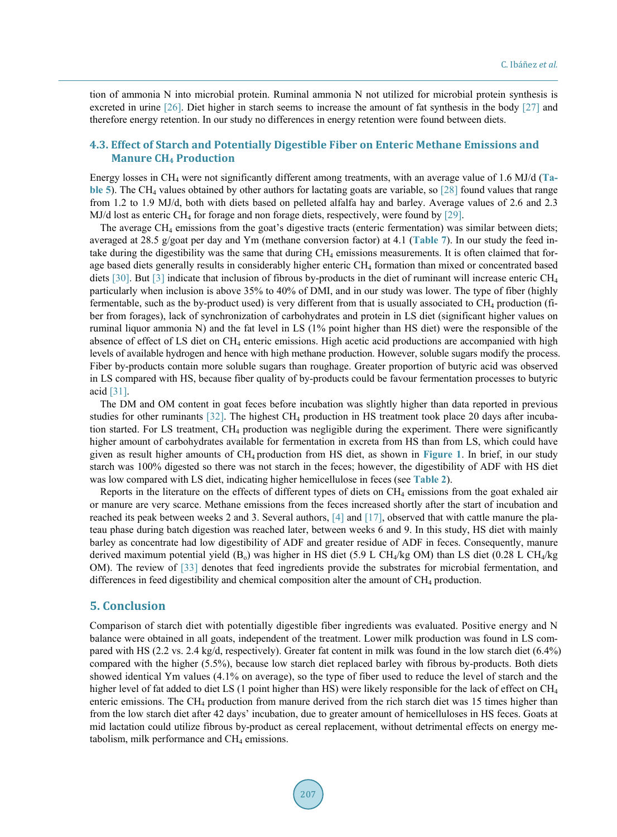tion of ammonia N into microbial protein. Ruminal ammonia N not utilized for microbial protein synthesis is excreted in urine [\[26\].](#page-11-6) Diet higher in starch seems to increase the amount of fat synthesis in the body [\[27\]](#page-11-7) and therefore energy retention. In our study no differences in energy retention were found between diets.

# **4.3. Effect of Starch and Potentially Digestible Fiber on Enteric Methane Emissions and Manure CH4 Production**

Energy losses in CH4 were not significantly different among treatments, with an average value of 1.6 MJ/d (**[Ta](#page-6-1)[ble 5](#page-6-1)**). The CH<sub>4</sub> values obtained by other authors for lactating goats are variable, so [\[28\]](#page-11-8) found values that range from 1.2 to 1.9 MJ/d, both with diets based on pelleted alfalfa hay and barley. Average values of 2.6 and 2.3 MJ/d lost as enteric CH4 for forage and non forage diets, respectively, were found by [\[29\].](#page-11-9)

The average CH4 emissions from the goat's digestive tracts (enteric fermentation) was similar between diets; averaged at 28.5 g/goat per day and Ym (methane conversion factor) at 4.1 (**[Table 7](#page-7-0)**). In our study the feed intake during the digestibility was the same that during CH4 emissions measurements. It is often claimed that forage based diets generally results in considerably higher enteric CH4 formation than mixed or concentrated based diets [\[30\].](#page-11-10) But [\[3\]](#page-10-2) indicate that inclusion of fibrous by-products in the diet of ruminant will increase enteric  $CH<sub>4</sub>$ particularly when inclusion is above 35% to 40% of DMI, and in our study was lower. The type of fiber (highly fermentable, such as the by-product used) is very different from that is usually associated to CH4 production (fiber from forages), lack of synchronization of carbohydrates and protein in LS diet (significant higher values on ruminal liquor ammonia N) and the fat level in LS (1% point higher than HS diet) were the responsible of the absence of effect of LS diet on CH<sub>4</sub> enteric emissions. High acetic acid productions are accompanied with high levels of available hydrogen and hence with high methane production. However, soluble sugars modify the process. Fiber by-products contain more soluble sugars than roughage. Greater proportion of butyric acid was observed in LS compared with HS, because fiber quality of by-products could be favour fermentation processes to butyric acid [\[31\].](#page-11-11)

The DM and OM content in goat feces before incubation was slightly higher than data reported in previous studies for other ruminants  $[32]$ . The highest CH<sub>4</sub> production in HS treatment took place 20 days after incubation started. For LS treatment, CH4 production was negligible during the experiment. There were significantly higher amount of carbohydrates available for fermentation in excreta from HS than from LS, which could have given as result higher amounts of CH4 production from HS diet, as shown in **[Figure 1](#page-8-0)**. In brief, in our study starch was 100% digested so there was not starch in the feces; however, the digestibility of ADF with HS diet was low compared with LS diet, indicating higher hemicellulose in feces (see **[Table 2](#page-5-0)**).

Reports in the literature on the effects of different types of diets on  $CH_4$  emissions from the goat exhaled air or manure are very scarce. Methane emissions from the feces increased shortly after the start of incubation and reached its peak between weeks 2 and 3. Several authors, [\[4\]](#page-10-3) and [\[17\],](#page-10-15) observed that with cattle manure the plateau phase during batch digestion was reached later, between weeks 6 and 9. In this study, HS diet with mainly barley as concentrate had low digestibility of ADF and greater residue of ADF in feces. Consequently, manure derived maximum potential yield (B<sub>o</sub>) was higher in HS diet (5.9 L CH<sub>4</sub>/kg OM) than LS diet (0.28 L CH<sub>4</sub>/kg OM). The review of [\[33\]](#page-11-13) denotes that feed ingredients provide the substrates for microbial fermentation, and differences in feed digestibility and chemical composition alter the amount of CH<sub>4</sub> production.

#### **5. Conclusion**

Comparison of starch diet with potentially digestible fiber ingredients was evaluated. Positive energy and N balance were obtained in all goats, independent of the treatment. Lower milk production was found in LS compared with HS (2.2 vs. 2.4 kg/d, respectively). Greater fat content in milk was found in the low starch diet (6.4%) compared with the higher (5.5%), because low starch diet replaced barley with fibrous by-products. Both diets showed identical Ym values (4.1% on average), so the type of fiber used to reduce the level of starch and the higher level of fat added to diet LS (1 point higher than HS) were likely responsible for the lack of effect on CH<sub>4</sub> enteric emissions. The CH4 production from manure derived from the rich starch diet was 15 times higher than from the low starch diet after 42 days' incubation, due to greater amount of hemicelluloses in HS feces. Goats at mid lactation could utilize fibrous by-product as cereal replacement, without detrimental effects on energy metabolism, milk performance and  $CH<sub>4</sub>$  emissions.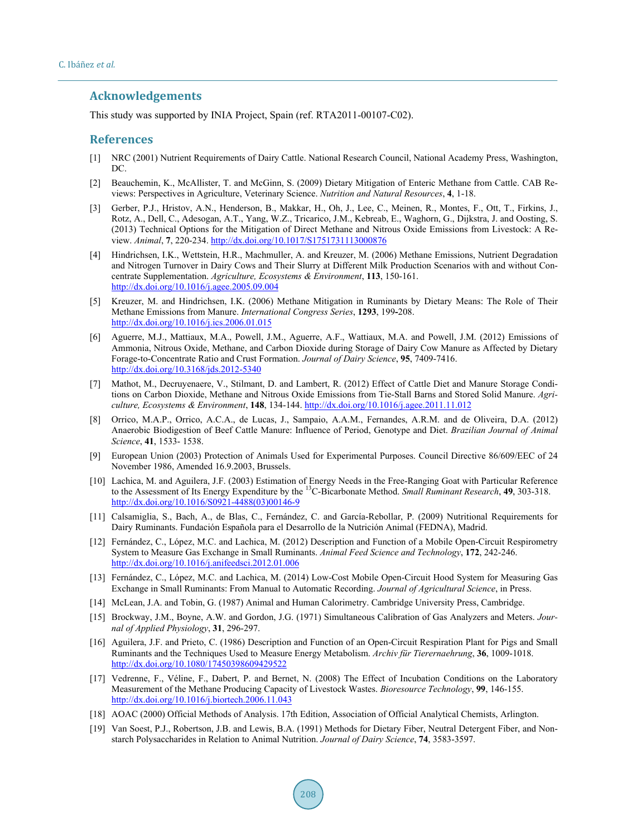# **Acknowledgements**

This study was supported by INIA Project, Spain (ref. RTA2011-00107-C02).

#### **References**

- <span id="page-10-0"></span>[1] NRC (2001) Nutrient Requirements of Dairy Cattle. National Research Council, National Academy Press, Washington, DC.
- <span id="page-10-1"></span>[2] Beauchemin, K., McAllister, T. and McGinn, S. (2009) Dietary Mitigation of Enteric Methane from Cattle. CAB Reviews: Perspectives in Agriculture, Veterinary Science. *Nutrition and Natural Resources*, **4**, 1-18.
- <span id="page-10-2"></span>[3] Gerber, P.J., Hristov, A.N., Henderson, B., Makkar, H., Oh, J., Lee, C., Meinen, R., Montes, F., Ott, T., Firkins, J., Rotz, A., Dell, C., Adesogan, A.T., Yang, W.Z., Tricarico, J.M., Kebreab, E., Waghorn, G., Dijkstra, J. and Oosting, S. (2013) Technical Options for the Mitigation of Direct Methane and Nitrous Oxide Emissions from Livestock: A Review. *Animal*, **7**, 220-234. <http://dx.doi.org/10.1017/S1751731113000876>
- <span id="page-10-3"></span>[4] Hindrichsen, I.K., Wettstein, H.R., Machmuller, A. and Kreuzer, M. (2006) Methane Emissions, Nutrient Degradation and Nitrogen Turnover in Dairy Cows and Their Slurry at Different Milk Production Scenarios with and without Concentrate Supplementation. *Agriculture, Ecosystems & Environment*, **113**, 150-161. <http://dx.doi.org/10.1016/j.agee.2005.09.004>
- <span id="page-10-4"></span>[5] Kreuzer, M. and Hindrichsen, I.K. (2006) Methane Mitigation in Ruminants by Dietary Means: The Role of Their Methane Emissions from Manure. *International Congress Series*, **1293**, 199**-**208. <http://dx.doi.org/10.1016/j.ics.2006.01.015>
- <span id="page-10-5"></span>[6] Aguerre, M.J., Mattiaux, M.A., Powell, J.M., Aguerre, A.F., Wattiaux, M.A. and Powell, J.M. (2012) Emissions of Ammonia, Nitrous Oxide, Methane, and Carbon Dioxide during Storage of Dairy Cow Manure as Affected by Dietary Forage-to-Concentrate Ratio and Crust Formation. *Journal of Dairy Science*, **95**, 7409-7416. <http://dx.doi.org/10.3168/jds.2012-5340>
- [7] Mathot, M., Decruyenaere, V., Stilmant, D. and Lambert, R. (2012) Effect of Cattle Diet and Manure Storage Conditions on Carbon Dioxide, Methane and Nitrous Oxide Emissions from Tie-Stall Barns and Stored Solid Manure. *Agriculture, Ecosystems & Environment*, **148**, 134-144. <http://dx.doi.org/10.1016/j.agee.2011.11.012>
- <span id="page-10-6"></span>[8] Orrico, M.A.P., Orrico, A.C.A., de Lucas, J., Sampaio, A.A.M., Fernandes, A.R.M. and de Oliveira, D.A. (2012) Anaerobic Biodigestion of Beef Cattle Manure: Influence of Period, Genotype and Diet. *Brazilian Journal of Animal Science*, **41**, 1533- 1538.
- <span id="page-10-7"></span>[9] European Union (2003) Protection of Animals Used for Experimental Purposes. Council Directive 86/609/EEC of 24 November 1986, Amended 16.9.2003, Brussels.
- <span id="page-10-8"></span>[10] Lachica, M. and Aguilera, J.F. (2003) Estimation of Energy Needs in the Free-Ranging Goat with Particular Reference to the Assessment of Its Energy Expenditure by the 13C-Bicarbonate Method. *Small Ruminant Research*, **49**, 303-318. [http://dx.doi.org/10.1016/S0921-4488\(03\)00146-9](http://dx.doi.org/10.1016/S0921-4488(03)00146-9)
- <span id="page-10-9"></span>[11] Calsamiglia, S., Bach, A., de Blas, C., Fernández, C. and García-Rebollar, P. (2009) Nutritional Requirements for Dairy Ruminants. Fundación Española para el Desarrollo de la Nutrición Animal (FEDNA), Madrid.
- <span id="page-10-10"></span>[12] Fernández, C., López, M.C. and Lachica, M. (2012) Description and Function of a Mobile Open-Circuit Respirometry System to Measure Gas Exchange in Small Ruminants. *Animal Feed Science and Technology*, **172**, 242-246. <http://dx.doi.org/10.1016/j.anifeedsci.2012.01.006>
- <span id="page-10-11"></span>[13] Fernández, C., López, M.C. and Lachica, M. (2014) Low-Cost Mobile Open-Circuit Hood System for Measuring Gas Exchange in Small Ruminants: From Manual to Automatic Recording. *Journal of Agricultural Science*, in Press.
- <span id="page-10-12"></span>[14] McLean, J.A. and Tobin, G. (1987) Animal and Human Calorimetry. Cambridge University Press, Cambridge.
- <span id="page-10-13"></span>[15] Brockway, J.M., Boyne, A.W. and Gordon, J.G. (1971) Simultaneous Calibration of Gas Analyzers and Meters. *Journal of Applied Physiology*, **31**, 296-297.
- <span id="page-10-14"></span>[16] Aguilera, J.F. and Prieto, C. (1986) Description and Function of an Open-Circuit Respiration Plant for Pigs and Small Ruminants and the Techniques Used to Measure Energy Metabolism. *Archiv für Tierernaehrung*, **36**, 1009-1018. <http://dx.doi.org/10.1080/17450398609429522>
- <span id="page-10-15"></span>[17] Vedrenne, F., Véline, F., Dabert, P. and Bernet, N. (2008) The Effect of Incubation Conditions on the Laboratory Measurement of the Methane Producing Capacity of Livestock Wastes. *Bioresource Technology*, **99**, 146-155. <http://dx.doi.org/10.1016/j.biortech.2006.11.043>
- <span id="page-10-16"></span>[18] AOAC (2000) Official Methods of Analysis. 17th Edition, Association of Official Analytical Chemists, Arlington.
- <span id="page-10-17"></span>[19] Van Soest, P.J., Robertson, J.B. and Lewis, B.A. (1991) Methods for Dietary Fiber, Neutral Detergent Fiber, and Nonstarch Polysaccharides in Relation to Animal Nutrition. *Journal of Dairy Science*, **74**, 3583-3597.